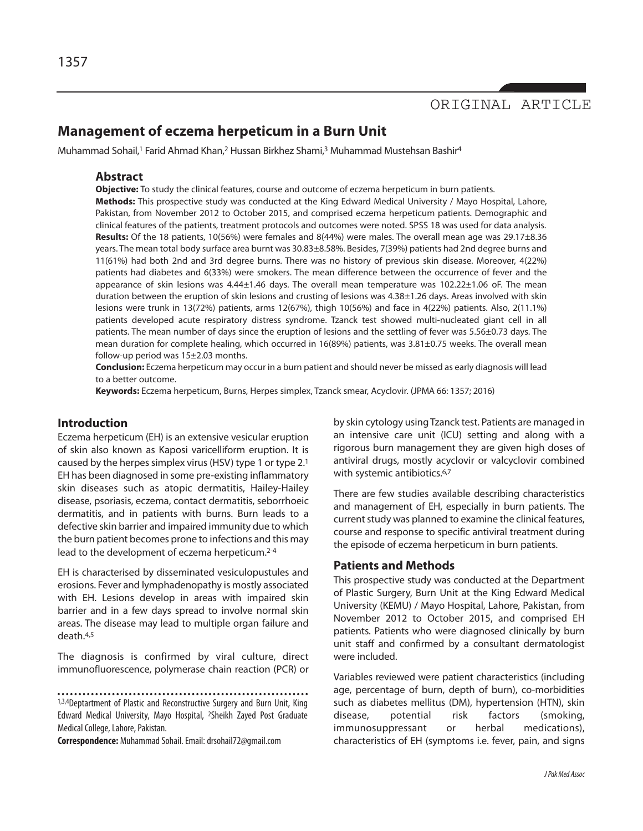# ORIGINAL ARTICLE

# **Management of eczema herpeticum in a Burn Unit**

Muhammad Sohail,<sup>1</sup> Farid Ahmad Khan,<sup>2</sup> Hussan Birkhez Shami,<sup>3</sup> Muhammad Mustehsan Bashir<sup>4</sup>

## **Abstract**

**Objective:** To study the clinical features, course and outcome of eczema herpeticum in burn patients. **Methods:** This prospective study was conducted at the King Edward Medical University / Mayo Hospital, Lahore, Pakistan, from November 2012 to October 2015, and comprised eczema herpeticum patients. Demographic and clinical features of the patients, treatment protocols and outcomes were noted. SPSS 18 was used for data analysis. **Results:** Of the 18 patients, 10(56%) were females and 8(44%) were males. The overall mean age was 29.17±8.36 years. The mean total body surface area burnt was 30.83±8.58%. Besides, 7(39%) patients had 2nd degree burns and 11(61%) had both 2nd and 3rd degree burns. There was no history of previous skin disease. Moreover, 4(22%) patients had diabetes and 6(33%) were smokers. The mean difference between the occurrence of fever and the appearance of skin lesions was 4.44±1.46 days. The overall mean temperature was 102.22±1.06 oF. The mean duration between the eruption of skin lesions and crusting of lesions was 4.38±1.26 days. Areas involved with skin lesions were trunk in 13(72%) patients, arms 12(67%), thigh 10(56%) and face in 4(22%) patients. Also, 2(11.1%) patients developed acute respiratory distress syndrome. Tzanck test showed multi-nucleated giant cell in all patients. The mean number of days since the eruption of lesions and the settling of fever was 5.56±0.73 days. The mean duration for complete healing, which occurred in 16(89%) patients, was 3.81±0.75 weeks. The overall mean follow-up period was 15±2.03 months.

**Conclusion:** Eczema herpeticum may occur in a burn patient and should never be missed as early diagnosis will lead to a better outcome.

**Keywords:** Eczema herpeticum, Burns, Herpes simplex, Tzanck smear, Acyclovir. (JPMA 66: 1357; 2016)

# **Introduction**

Eczema herpeticum (EH) is an extensive vesicular eruption of skin also known as Kaposi varicelliform eruption. It is caused by the herpes simplex virus (HSV) type 1 or type  $2.1$ EH has been diagnosed in some pre-existing inflammatory skin diseases such as atopic dermatitis, Hailey-Hailey disease, psoriasis, eczema, contact dermatitis, seborrhoeic dermatitis, and in patients with burns. Burn leads to a defective skin barrier and impaired immunity due to which the burn patient becomes prone to infections and this may lead to the development of eczema herpeticum. 2-4

EH is characterised by disseminated vesiculopustules and erosions. Fever and lymphadenopathy is mostly associated with EH. Lesions develop in areas with impaired skin barrier and in a few days spread to involve normal skin areas. The disease may lead to multiple organ failure and death. 4,5

The diagnosis is confirmed by viral culture, direct immunofluorescence, polymerase chain reaction (PCR) or

1,3,4Deptartment of Plastic and Reconstructive Surgery and Burn Unit, King Edward Medical University, Mayo Hospital, 2Sheikh Zayed Post Graduate Medical College, Lahore, Pakistan.

**Correspondence:** Muhammad Sohail. Email: drsohail72@gmail.com

by skin cytology usingTzanck test. Patients are managed in an intensive care unit (ICU) setting and along with a rigorous burn management they are given high doses of antiviral drugs, mostly acyclovir or valcyclovir combined with systemic antibiotics.<sup>6,7</sup>

There are few studies available describing characteristics and management of EH, especially in burn patients. The current study was planned to examine the clinical features, course and response to specific antiviral treatment during the episode of eczema herpeticum in burn patients.

# **Patients and Methods**

This prospective study was conducted at the Department of Plastic Surgery, Burn Unit at the King Edward Medical University (KEMU) / Mayo Hospital, Lahore, Pakistan, from November 2012 to October 2015, and comprised EH patients. Patients who were diagnosed clinically by burn unit staff and confirmed by a consultant dermatologist were included.

Variables reviewed were patient characteristics (including age, percentage of burn, depth of burn), co-morbidities such as diabetes mellitus (DM), hypertension (HTN), skin disease, potential risk factors (smoking, immunosuppressant or herbal medications), characteristics of EH (symptoms i.e. fever, pain, and signs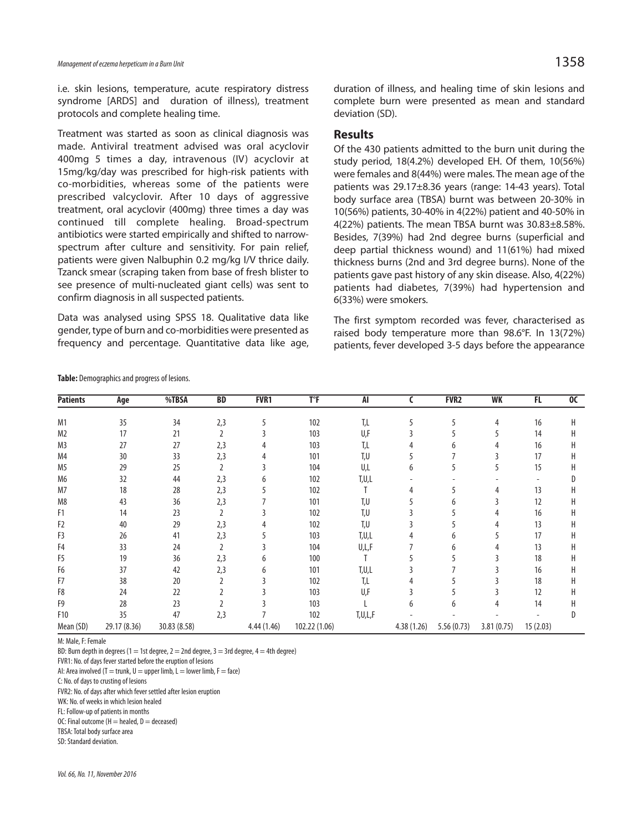i.e. skin lesions, temperature, acute respiratory distress syndrome [ARDS] and duration of illness), treatment protocols and complete healing time.

Treatment was started as soon as clinical diagnosis was made. Antiviral treatment advised was oral acyclovir 400mg 5 times a day, intravenous (IV) acyclovir at 15mg/kg/day was prescribed for high-risk patients with co-morbidities, whereas some of the patients were prescribed valcyclovir. After 10 days of aggressive treatment, oral acyclovir (400mg) three times a day was continued till complete healing. Broad-spectrum antibiotics were started empirically and shifted to narrowspectrum after culture and sensitivity. For pain relief, patients were given Nalbuphin 0.2 mg/kg I/V thrice daily. Tzanck smear (scraping taken from base of fresh blister to see presence of multi-nucleated giant cells) was sent to confirm diagnosis in all suspected patients.

Data was analysed using SPSS 18. Qualitative data like gender, type of burn and co-morbidities were presented as frequency and percentage. Quantitative data like age, duration of illness, and healing time of skin lesions and complete burn were presented as mean and standard deviation (SD).

### **Results**

Of the 430 patients admitted to the burn unit during the study period, 18(4.2%) developed EH. Of them, 10(56%) were females and 8(44%) were males. The mean age of the patients was 29.17±8.36 years (range: 14-43 years). Total body surface area (TBSA) burnt was between 20-30% in 10(56%) patients, 30-40% in 4(22%) patient and 40-50% in 4(22%) patients. The mean TBSA burnt was 30.83±8.58%. Besides, 7(39%) had 2nd degree burns (superficial and deep partial thickness wound) and 11(61%) had mixed thickness burns (2nd and 3rd degree burns). None of the patients gave past history of any skin disease. Also, 4(22%) patients had diabetes, 7(39%) had hypertension and 6(33%) were smokers.

The first symptom recorded was fever, characterised as raised body temperature more than 98.6°F. In 13(72%) patients, fever developed 3-5 days before the appearance

| <b>Patients</b> | Age          | %TBSA        | <b>BD</b> | FVR1       | $T$ <sup><math>\circ</math></sup> F | AI      |            | <b>FVR2</b> | WK         | FL.      | 00 |
|-----------------|--------------|--------------|-----------|------------|-------------------------------------|---------|------------|-------------|------------|----------|----|
| M1              | 35           | 34           | 2,3       | 5          | 102                                 | T,L     | 5          |             | 4          | 16       | Н  |
| M2              | 17           | 21           |           |            | 103                                 | U,F     |            |             |            | 14       | Н  |
| M3              | 27           | 27           | 2,3       |            | 103                                 | T,L     |            |             |            | 16       | Н  |
| M4              | 30           | 33           | 2,3       |            | 101                                 | T,U     |            |             |            | 17       | Н  |
| M5              | 29           | 25           | 2         |            | 104                                 | U,L     | 6          |             |            | 15       | Н  |
| M6              | 32           | 44           | 2,3       |            | 102                                 | T,U,L   |            |             |            |          |    |
| M7              | 18           | 28           | 2,3       |            | 102                                 |         |            |             |            | 13       |    |
| M8              | 43           | 36           | 2,3       |            | 101                                 | T,U     |            | h           |            | 12       | н  |
| F1              | 14           | 23           |           |            | 102                                 | T,U     |            |             |            | 16       | Н  |
| F2              | 40           | 29           | 2,3       |            | 102                                 | T,U     |            |             |            | 13       | Н  |
| F3              | 26           | 41           | 2,3       |            | 103                                 | T,U,L   |            |             |            | 17       | Н  |
| F4              | 33           | 24           |           |            | 104                                 | U,L,F   |            | h           |            | 13       | н  |
| F5              | 19           | 36           | 2,3       |            | 100                                 |         |            |             |            | 18       | н  |
| F6              | 37           | 42           | 2,3       |            | 101                                 | T,U,L   |            |             |            | 16       | н  |
| F7              | 38           | 20           |           |            | 102                                 | T,L     |            |             |            | 18       | Н  |
| F8              | 24           | 22           |           |            | 103                                 | U,F     |            |             |            | 12       | Н  |
| F9              | 28           | 23           |           |            | 103                                 |         | h          | 6           |            | 14       | Н  |
| F10             | 35           | 47           | 2,3       |            | 102                                 | T,U,L,F |            |             |            |          |    |
| Mean (SD)       | 29.17 (8.36) | 30.83 (8.58) |           | 4.44(1.46) | 102.22 (1.06)                       |         | 4.38(1.26) | 5.56(0.73)  | 3.81(0.75) | 15(2.03) |    |
|                 |              |              |           |            |                                     |         |            |             |            |          |    |

Table: Demographics and progress of lesions.

M: Male, F: Female

BD: Burn depth in degrees (1 = 1st degree, 2 = 2nd degree, 3 = 3rd degree, 4 = 4th degree)

FVR1: No. of days fever started before the eruption of lesions

AI: Area involved (T = trunk, U = upper limb, L = lower limb, F = face)

C: No. of days to crusting of lesions

FVR2: No. of days after which fever settled after lesion eruption

WK: No. of weeks in which lesion healed

FL: Follow-up of patients in months

OC: Final outcome ( $H =$  healed,  $D =$  deceased) TBSA: Total body surface area

SD: Standard deviation.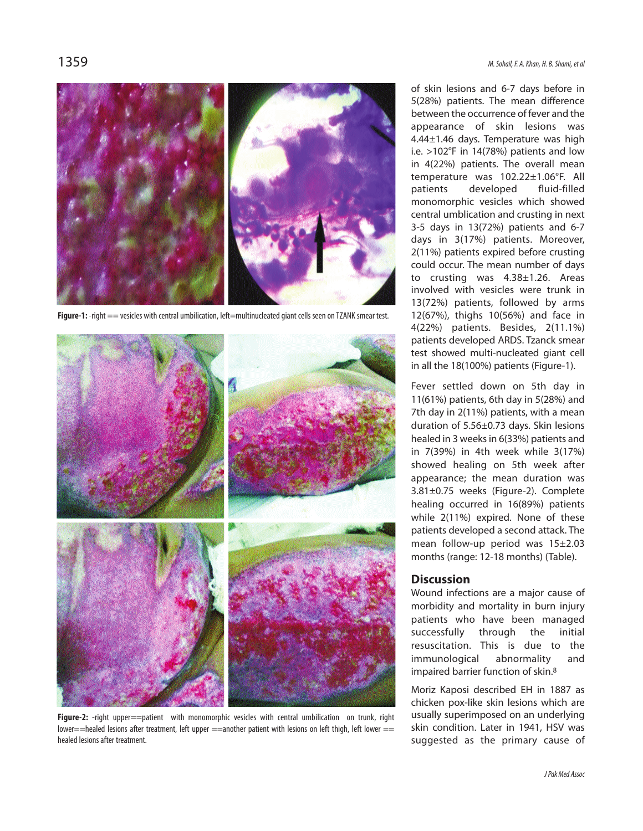

**Figure-1:** -right == vesicles with central umbilication, left=multinucleated giant cells seen on TZANK smear test.



**Figure-2:** -right upper==patient with monomorphic vesicles with central umbilication on trunk, right lower==healed lesions after treatment, left upper ==another patient with lesions on left thigh, left lower == healed lesions after treatment.

of skin lesions and 6-7 days before in 5(28%) patients. The mean difference between the occurrence of fever and the appearance of skin lesions was 4.44±1.46 days. Temperature was high i.e. >102°F in 14(78%) patients and low in 4(22%) patients. The overall mean temperature was 102.22±1.06°F. All patients developed fluid-filled monomorphic vesicles which showed central umblication and crusting in next 3-5 days in 13(72%) patients and 6-7 days in 3(17%) patients. Moreover, 2(11%) patients expired before crusting could occur. The mean number of days to crusting was 4.38±1.26. Areas involved with vesicles were trunk in 13(72%) patients, followed by arms 12(67%), thighs 10(56%) and face in 4(22%) patients. Besides, 2(11.1%) patients developed ARDS. Tzanck smear test showed multi-nucleated giant cell in all the 18(100%) patients (Figure-1).

Fever settled down on 5th day in 11(61%) patients, 6th day in 5(28%) and 7th day in 2(11%) patients, with a mean duration of 5.56±0.73 days. Skin lesions healed in 3 weeks in 6(33%) patients and in 7(39%) in 4th week while 3(17%) showed healing on 5th week after appearance; the mean duration was 3.81±0.75 weeks (Figure-2). Complete healing occurred in 16(89%) patients while 2(11%) expired. None of these patients developed a second attack. The mean follow-up period was 15±2.03 months (range: 12-18 months) (Table).

# **Discussion**

Wound infections are a major cause of morbidity and mortality in burn injury patients who have been managed successfully through the initial resuscitation. This is due to the immunological abnormality and impaired barrier function of skin. 8

Moriz Kaposi described EH in 1887 as chicken pox-like skin lesions which are usually superimposed on an underlying skin condition. Later in 1941, HSV was suggested as the primary cause of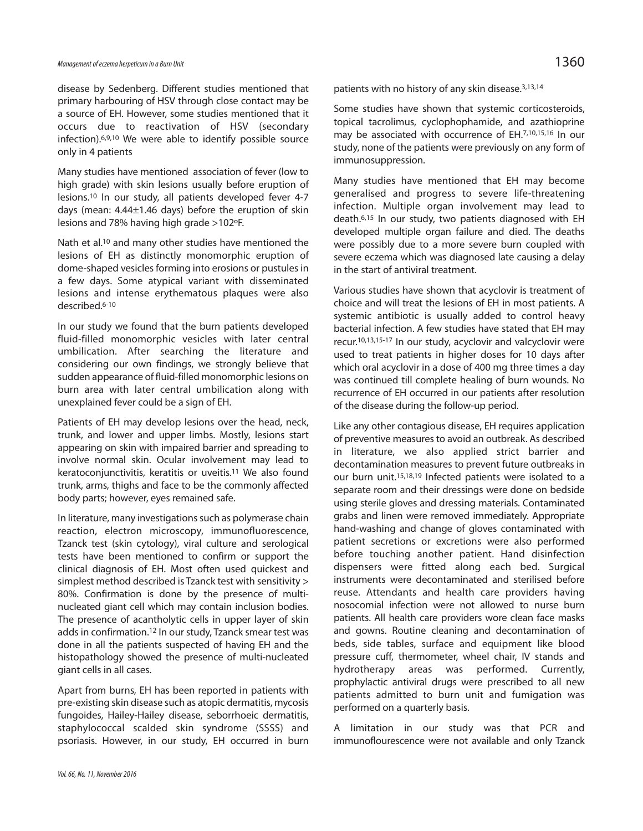disease by Sedenberg. Different studies mentioned that primary harbouring of HSV through close contact may be a source of EH. However, some studies mentioned that it occurs due to reactivation of HSV (secondary infection). 6,9,10 We were able to identify possible source only in 4 patients

Many studies have mentioned association of fever (low to high grade) with skin lesions usually before eruption of lesions. <sup>10</sup> In our study, all patients developed fever 4-7 days (mean: 4.44±1.46 days) before the eruption of skin lesions and 78% having high grade >102ºF.

Nath et al.<sup>10</sup> and many other studies have mentioned the lesions of EH as distinctly monomorphic eruption of dome-shaped vesicles forming into erosions or pustules in a few days. Some atypical variant with disseminated lesions and intense erythematous plaques were also described. 6-10

In our study we found that the burn patients developed fluid-filled monomorphic vesicles with later central umbilication. After searching the literature and considering our own findings, we strongly believe that sudden appearance of fluid-filled monomorphic lesions on burn area with later central umbilication along with unexplained fever could be a sign of EH.

Patients of EH may develop lesions over the head, neck, trunk, and lower and upper limbs. Mostly, lesions start appearing on skin with impaired barrier and spreading to involve normal skin. Ocular involvement may lead to keratoconjunctivitis, keratitis or uveitis. <sup>11</sup> We also found trunk, arms, thighs and face to be the commonly affected body parts; however, eyes remained safe.

In literature, many investigations such as polymerase chain reaction, electron microscopy, immunofluorescence, Tzanck test (skin cytology), viral culture and serological tests have been mentioned to confirm or support the clinical diagnosis of EH. Most often used quickest and simplest method described is Tzanck test with sensitivity > 80%. Confirmation is done by the presence of multinucleated giant cell which may contain inclusion bodies. The presence of acantholytic cells in upper layer of skin adds in confirmation. <sup>12</sup> In our study, Tzanck smear test was done in all the patients suspected of having EH and the histopathology showed the presence of multi-nucleated giant cells in all cases.

Apart from burns, EH has been reported in patients with pre-existing skin disease such as atopic dermatitis, mycosis fungoides, Hailey-Hailey disease, seborrhoeic dermatitis, staphylococcal scalded skin syndrome (SSSS) and psoriasis. However, in our study, EH occurred in burn patients with no history of any skin disease. 3,13,14

Some studies have shown that systemic corticosteroids, topical tacrolimus, cyclophophamide, and azathioprine may be associated with occurrence of EH. 7,10,15,16 In our study, none of the patients were previously on any form of immunosuppression.

Many studies have mentioned that EH may become generalised and progress to severe life-threatening infection. Multiple organ involvement may lead to death. 6,15 In our study, two patients diagnosed with EH developed multiple organ failure and died. The deaths were possibly due to a more severe burn coupled with severe eczema which was diagnosed late causing a delay in the start of antiviral treatment.

Various studies have shown that acyclovir is treatment of choice and will treat the lesions of EH in most patients. A systemic antibiotic is usually added to control heavy bacterial infection. A few studies have stated that EH may recur. 10,13,15-17 In our study, acyclovir and valcyclovir were used to treat patients in higher doses for 10 days after which oral acyclovir in a dose of 400 mg three times a day was continued till complete healing of burn wounds. No recurrence of EH occurred in our patients after resolution of the disease during the follow-up period.

Like any other contagious disease, EH requires application of preventive measures to avoid an outbreak. As described in literature, we also applied strict barrier and decontamination measures to prevent future outbreaks in our burn unit. 15,18,19 Infected patients were isolated to a separate room and their dressings were done on bedside using sterile gloves and dressing materials. Contaminated grabs and linen were removed immediately. Appropriate hand-washing and change of gloves contaminated with patient secretions or excretions were also performed before touching another patient. Hand disinfection dispensers were fitted along each bed. Surgical instruments were decontaminated and sterilised before reuse. Attendants and health care providers having nosocomial infection were not allowed to nurse burn patients. All health care providers wore clean face masks and gowns. Routine cleaning and decontamination of beds, side tables, surface and equipment like blood pressure cuff, thermometer, wheel chair, IV stands and hydrotherapy areas was performed. Currently, prophylactic antiviral drugs were prescribed to all new patients admitted to burn unit and fumigation was performed on a quarterly basis.

A limitation in our study was that PCR and immunoflourescence were not available and only Tzanck